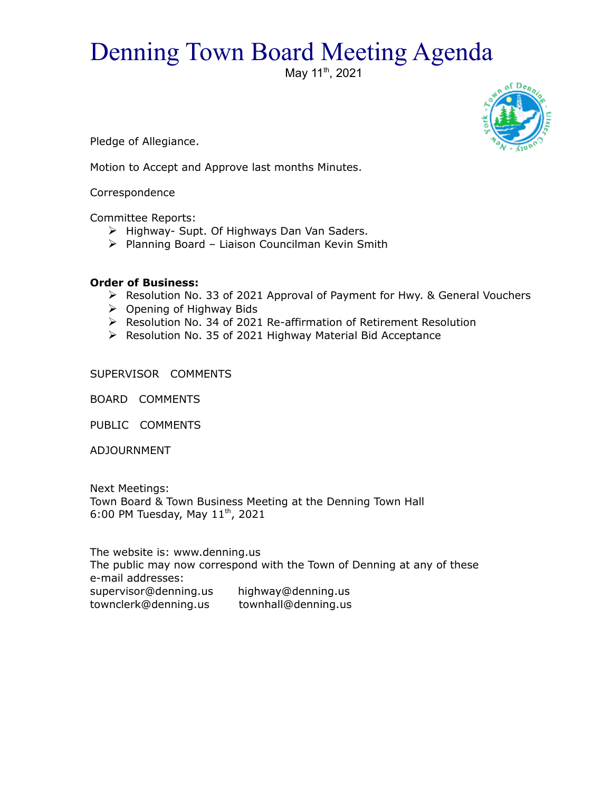## Denning Town Board Meeting Agenda

May 11<sup>th</sup>, 2021



Pledge of Allegiance.

Motion to Accept and Approve last months Minutes.

Correspondence

Committee Reports:

- $\triangleright$  Highway- Supt. Of Highways Dan Van Saders.
- $\triangleright$  Planning Board Liaison Councilman Kevin Smith

## **Order of Business:**

- Resolution No. 33 of 2021 Approval of Payment for Hwy. & General Vouchers
- $\triangleright$  Opening of Highway Bids
- Resolution No. 34 of 2021 Re-affirmation of Retirement Resolution
- ▶ Resolution No. 35 of 2021 Highway Material Bid Acceptance

SUPERVISOR COMMENTS

BOARD COMMENTS

PUBLIC COMMENTS

ADJOURNMENT

Next Meetings: Town Board & Town Business Meeting at the Denning Town Hall 6:00 PM Tuesday, May  $11^{th}$ , 2021

The website is: www.denning.us The public may now correspond with the Town of Denning at any of these e-mail addresses: supervisor@denning.us highway@denning.us townclerk@denning.us townhall@denning.us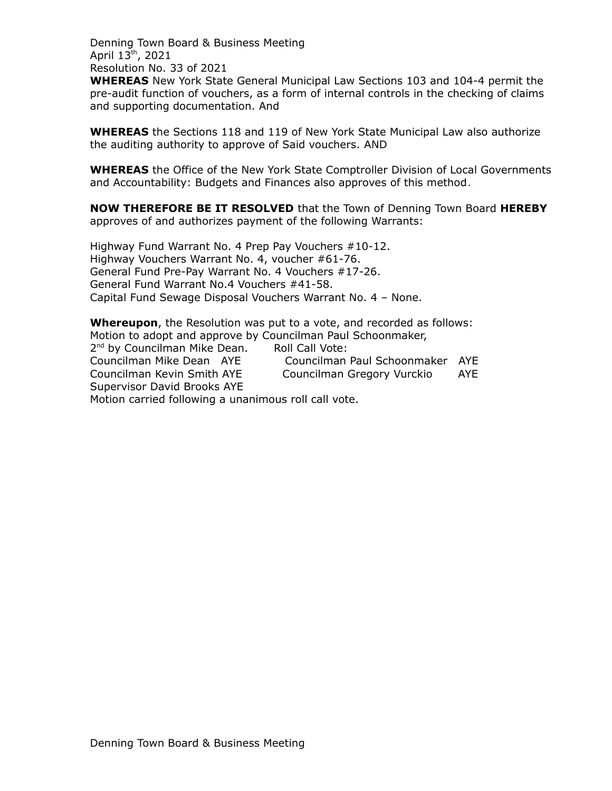Denning Town Board & Business Meeting April 13th, 2021 Resolution No. 33 of 2021

**WHEREAS** New York State General Municipal Law Sections 103 and 104-4 permit the pre-audit function of vouchers, as a form of internal controls in the checking of claims and supporting documentation. And

**WHEREAS** the Sections 118 and 119 of New York State Municipal Law also authorize the auditing authority to approve of Said vouchers. AND

**WHEREAS** the Office of the New York State Comptroller Division of Local Governments and Accountability: Budgets and Finances also approves of this method.

**NOW THEREFORE BE IT RESOLVED** that the Town of Denning Town Board **HEREBY** approves of and authorizes payment of the following Warrants:

Highway Fund Warrant No. 4 Prep Pay Vouchers #10-12. Highway Vouchers Warrant No. 4, voucher #61-76. General Fund Pre-Pay Warrant No. 4 Vouchers #17-26. General Fund Warrant No.4 Vouchers #41-58. Capital Fund Sewage Disposal Vouchers Warrant No. 4 – None.

**Whereupon**, the Resolution was put to a vote, and recorded as follows: Motion to adopt and approve by Councilman Paul Schoonmaker, 2<sup>nd</sup> by Councilman Mike Dean. Roll Call Vote: Councilman Mike Dean AYE Councilman Paul Schoonmaker AYE Councilman Kevin Smith AYE Councilman Gregory Vurckio AYE Supervisor David Brooks AYE Motion carried following a unanimous roll call vote.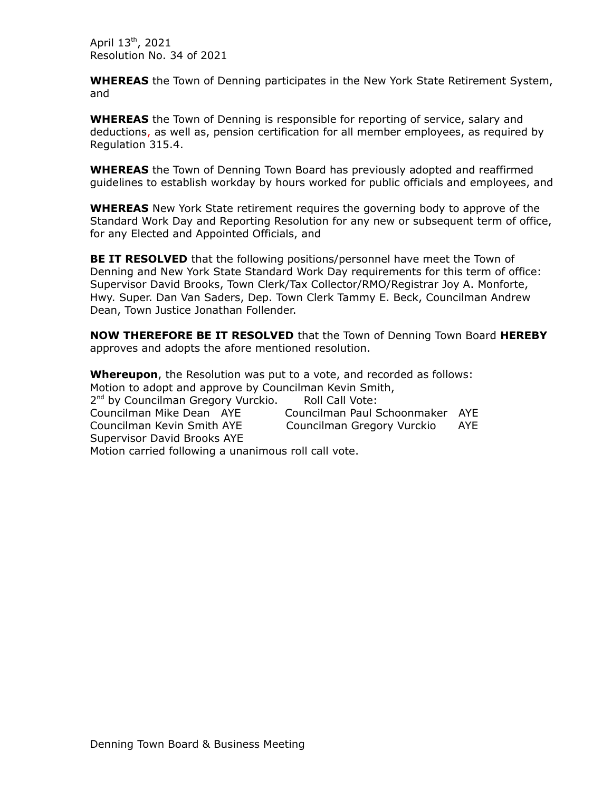April 13th, 2021 Resolution No. 34 of 2021

**WHEREAS** the Town of Denning participates in the New York State Retirement System, and

**WHEREAS** the Town of Denning is responsible for reporting of service, salary and deductions, as well as, pension certification for all member employees, as required by Regulation 315.4.

**WHEREAS** the Town of Denning Town Board has previously adopted and reaffirmed guidelines to establish workday by hours worked for public officials and employees, and

**WHEREAS** New York State retirement requires the governing body to approve of the Standard Work Day and Reporting Resolution for any new or subsequent term of office, for any Elected and Appointed Officials, and

**BE IT RESOLVED** that the following positions/personnel have meet the Town of Denning and New York State Standard Work Day requirements for this term of office: Supervisor David Brooks, Town Clerk/Tax Collector/RMO/Registrar Joy A. Monforte, Hwy. Super. Dan Van Saders, Dep. Town Clerk Tammy E. Beck, Councilman Andrew Dean, Town Justice Jonathan Follender.

**NOW THEREFORE BE IT RESOLVED** that the Town of Denning Town Board **HEREBY**  approves and adopts the afore mentioned resolution.

**Whereupon**, the Resolution was put to a vote, and recorded as follows: Motion to adopt and approve by Councilman Kevin Smith, 2<sup>nd</sup> by Councilman Gregory Vurckio. Roll Call Vote: Councilman Mike Dean AYE Councilman Paul Schoonmaker AYE Councilman Kevin Smith AYE Councilman Gregory Vurckio AYE Supervisor David Brooks AYE Motion carried following a unanimous roll call vote.